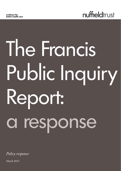

# The Francis Public Inquiry Report: a response

*Policy response*

March 2013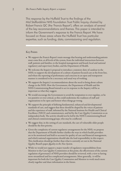This response by the Nuffield Trust to the findings of the Mid Staffordshire NHS Foundation Trust Public Inquiry, chaired by Robert Francis QC (the 'Francis Report'), offers an analysis of several of the key recommendations and themes. This paper is intended to inform the Government's response to the Francis Report. We have focused on those areas where the Nuffield Trust has particular expertise, such as funding, data, commissioning and regulation.

#### Key Points

- We support the Francis Report's main message that hearing and understanding patients must come first, at all levels of the system, from the individual interactions between staff, patients and families, to the hospital management and board, local and national regulatory and supervisory bodies, and the Department of Health.
- We welcome the Inquiry's proposal to introduce a statutory duty of candour in the NHS; to support the development of a culture of patient-focused care at the front line, and where the reporting of performance and concerns in an open and transparent manner is considered to be a necessary and usual way of working.
- We support the Inquiry's recommendations about the need to bring about culture change in the NHS. How the Government, the Department of Health and the NHS Commissioning Board intend to act in response to the Inquiry will be as important as what they suggest.
- We would encourage the Government to avoid the temptation to over-regulate, or be too punitive or over-critical, as this could undermine the readiness of staff and organisations to be open and honest when things go wrong.
- We support the principle of defining fundamental, enhanced and developmental standards of care, and suggest that these should be shaped by the voices of patients and the experience of staff, informed by the National Institute for Health and Clinical Excellence (NICE) and commissioners, and led by the Care Quality Commission as an independent body. The activity should not be led by the NHS Commissioning Board and clinical commissioning groups, who may be conflicted.
- We suggest that, in the setting of care standards, the care of vulnerable older people should be the first priority.
- Given the complexity of current regulatory arrangements for the NHS, we propose that the Department of Health further clarifies the ways in which health providers are to be monitored and held to account for quality of care and financial management, and which national organisations should take the lead responsibility in this respect. This clarification should go further than what is currently set out in the National Quality Board's paper *Quality in the New System*.
- While we would not support a major transfer of regulatory responsibilities from Monitor to the Care Quality Commission at this point, the effectiveness of the current regulation of governance of NHS providers should be reviewed, with a view to having more streamlined and less complicated arrangements. More generally, it will be important for both the Care Quality Commission and Monitor to work much more closely together and share information in the future.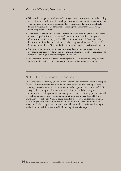- We consider the systematic sharing of existing real-time information about the quality of NHS care to be critical to the development of a more patient safety-focused service. This will need to be sensitive enough to detect the dispersed nature of small-scale failure in hospitals that are otherwise performing well, rather than aimed solely at identifying obvious outliers.
- The routine collection of data to enhance the ability to measure quality of care needs to be developed, informed by a range of organisations such as the Care Quality Commission (which we suggest should be responsible, as noted above, for leading the identification of fundamental, enhanced and developmental standards), the NHS Commissioning Board, NICE and other organisations such as Healthwatch England.
- We strongly endorse the Inquiry's comments and recommendations concerning developing peer review systems, and urge the Department of Health to consider in its response to the Inquiry how this might best be done.
- We support the recommendations to strengthen mechanisms for involving patients and the public in all levels of the NHS, including local representative bodies.

# Nuffield Trust support for the Francis Inquiry

At the request of the Inquiry Chairman, the Nuffield Trust prepared a number of papers for the Mid Staffordshire NHS Foundation Trust Public Inquiry, covering matters including: the evidence on NHS commissioning; the regulation and training of NHS managers; the training and development of NHS boards; and the history and development of NHS organisation and management. Copies of these papers are available on the Inquiry website at **www.midstaffspublicinquiry.com**. In addition, Dr Judith Smith, Director of Policy, Nuffield Trust, provided expert evidence (oral and written), on NHS organisation and commissioning to the Inquiry and was appointed as an assessor of the final Inquiry recommendations. All our work on the Francis Inquiry is available on our website at **www.nuffieldtrust.org.uk/francis-inquiry**.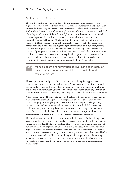#### Background to this paper

The remit of the Inquiry was to find out why the 'commissioning, supervisory and regulatory' bodies failed to identify problems at the Mid Staffordshire NHS Foundation Trust and subsequently take action. While technically confined to the events at Mid Staffordshire, the wide scope of the Inquiry's recommendations is testament to the belief of the Inquiry Chairman, Robert Francis QC, that "Stafford was not an event of such rarity or improbability that it would be safe to assume that it has not or will not be repeated" (Francis, 2013: para 76). Certainly in the months and years following the issues at Mid Staffordshire coming to light there have been several other major cases that portray care in the NHS in a negative light. Francis draws attention to arguments used by some Inquiry witnesses that inaction over Stafford was justified because similar patterns of poor performance could be found elsewhere, i.e. Stafford was not exceptional, or if it was, it was so only because of the exceptionally large scale of the problems. Robert Francis concludes "it is an argument which evidences a culture of habituation and passivity in the face of issues which may indicate real suffering" (para 78).

From a patient and family perspective, just one incident of poor quality care in any hospital can potentially lead to a " catastrophic loss

This encapsulates the uniquely difficult nature of the challenge facing providers, commissioners and regulators of health services. What happened at Stafford Hospital was particularly shocking because of its unprecedented scale and duration. But, from a patient and family perspective, just one incident of poor quality care in any hospital can potentially lead to a catastrophic loss, involving premature death or unnecessary suffering.

A fully patient-centred health system needs, therefore, to be able to detect and respond to individual failures that might be occurring within one ward or department of an otherwise high-performing hospital, as well as identify and respond to larger-scale, more systematic failures of individual institutions. This is the dual challenge facing health systems, particularly regulators and commissioners: creating a system that can detect (and prevent) individual failures at the same time as setting a threshold for when cumulative failures trigger a more resource-intensive, regulatory response.

The Inquiry's recommendations aim to address both dimensions of this challenge: first, a transformed culture at the hospital level of the system to ensure that individual failures in care are avoided and better ways are found for providers to understand the quality of care within their own organisations. Second, external bodies such as commissioners and regulators need to be watchful for signals of failure and able to act swiftly in a targeted and proportionate way when things start to go wrong. It is important that external bodies do not place too much confidence in the ability of risk ratings and/or early warning systems to give a complete picture, and that they use these alongside other sources of information such as patient complaints, staff survey data and 'soft' intelligence from NHS boards.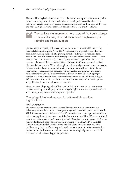The thread linking both elements is a renewed focus on hearing and understanding what patients are saying, from the interactions between staff, patients and families on an individual ward, to the tiers of hospital management and the board, through all the local and national regulatory and supervisory bodies, to the Department of Health.

The reality is that more and more trusts will be treating larger numbers of sicker, older adults in an atmosphere of pay " restraint and frozen budgets

Our analysis is necessarily influenced by extensive work at the Nuffield Trust on the financial challenge facing the NHS. The NHS faces a growing gap between demand – particularly meeting the needs of a growing cohort of older people with long-term conditions – and available resources. This gap is likely to persist over the next decade at least (Roberts and others, 2012). Since 2007/08, an increasing number of trusts have experienced financial deficits, and in 2011/12, 32 out of 250 trusts reported a deficit ( Jones and Charlesworth, 2013). Although there is no straightforward causal connection between restricted resources and failures in care (Mid Staffordshire's failures did not happen simply because of staff shortages, although it has now been put into special financial measures), the reality is that more and more trusts will be treating larger numbers of sicker, older adults in an atmosphere of pay restraint and frozen budgets. Effective regulation, new forms of information and assessment, and informed patient and public involvement are also resource-intensive.

There are inevitably going to be difficult trade-offs for the Government to consider; between investing in developing and sustaining the right culture inside providers of care and ensuring sharper external scrutiny and regulation.

Changing clinical and managerial culture within provider organisations

#### NHS Constitution

The Francis Report recommends a renewed focus on the NHS Constitution as a reference point for the common values governing care in the NHS (para 1.121 onwards). While it makes sense to build on the NHS Constitution as an existing statement of values rather than replicate it, staff awareness of the Constitution is still low (45 per cent of staff were found to be aware of the Constitution in 2012) and only one in ten staff felt 'very or fairly well informed' about its contents (Department of Health, 2012). If the NHS Constitution is to guide behaviour across the NHS, it will need to be given a high profile amongst both staff and the public, with mechanisms put in place to ensure that its contents are both known and adhered to, perhaps through alignment with NHS recruitment, induction and appraisal processes.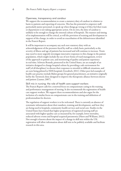#### Openness, transparency and candour

We support the recommendation to create a statutory duty of candour in relation to harm to patients and reporting of concerns. This has the potential to empower staff, particularly junior personnel, to speak up when things go wrong or if they feel their team or department is not taking appropriate action. On its own, the duty of candour is unlikely to be enough to change the internal culture of hospitals. The manner and timing of its implementation will be critical, as will the provision of training and development in support of the change, in order to avoid an exacerbation of the defensiveness identified in the Francis Report.

It will be important to accompany any such new statutory duty with an acknowledgement of the pressures faced by staff on a daily basis, particularly as the severity of illness and age of patients has increased and will continue to increase. Trusts may need to more urgently investigate innovative responses to this change in the patient population, which might include the use of new forms of ward management, review of the approach to patient care, and monitoring of quality and patient experience in real-time. Schwarz Rounds, pioneered in the United States, are an example of an initiative designed to change hospital culture by providing a safe environment for staff (of all disciplines) to discuss their responses to stressful or difficult situations, and are now being piloted in NHS hospitals (Goodrich, 2011). Other peer-led examples of health care practice include Balint groups for general practitioners, an initiative originally led by the Tavistock clinic designed to improve the therapeutic alliance between doctor and patient (Launer, 2007).

Skill mix in nursing: the role of health care support workers The Francis Report calls for a renewed focus on compassionate caring in the training and performance management of nursing. It also recommends the registration of health care support workers. We support these recommendations and also argue for the inclusion of a similar focus on compassionate care in the training and definition of professionalism for doctors.

The regulation of support workers is to be welcomed. There is currently an absence of systematic information about their numbers, training and development, and how they are being used in hospitals, community health services and social care. Studies in the United States have found that higher proportions of registered nursing staff are associated with higher-quality care as measured by, for example, lower mortality, reduced adverse events and hospital-acquired pneumonia (Hurst and Williams, 2012). Not enough is known about the impact of a change in skill mix within the UK: registration will allow information about skill mix to be publicly available and facilitate research in this area.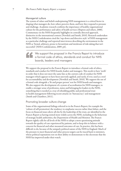#### Managerial culture

The system of values and beliefs underpinning NHS management is a critical factor in shaping what managers do, how others perceive them, and how they respond to pressure and challenge. Academic research confirms the importance of healthy organisational culture for the performance and safety of health services (Shipton and others, 2008). Commentary on the NHS frequently highlights its centrally directed approach, distinctive in the international context (Newdick and Smith, 2010). Research undertaken by the NHS Confederation cited the 'top-down and directive style' of NHS management as a particular challenge and reported interviewees describing the environment in the NHS as 'brutal, arbitrary, prone to favouritism and intolerant of risk-taking that isn't successful' (NHS Confederation, 2009: p4).

We support the proposal in the Francis Report to introduce a formal code of ethics, standards and conduct for NHS " boards, leaders and managers

We support the proposal in the Francis Report to introduce a formal code of ethics, standards and conduct for NHS boards, leaders and managers. This needs to have 'teeth' in order that it does not meet the same fate as the current code of conduct for NHS managers which appears to have been unevenly applied, and rarely, if ever, used as a tool for accountability and development (Newdick and Smith, 2010). We support the use of a formal code alongside a 'fit and proper person' test for NHS boards and managers. We also support the development of a system of accreditation for NHS managers, to enable a stronger sense of profession, status and belonging for leaders in the NHS; something that is needed as a way of rebuilding public and professional trust in health management following recent attacks on 'bureaucracy' and management (Smith and Chambers, 2011).

### Promoting broader culture change

Some of the organisational failings referred to in the Francis Report, for example the 'culture of self-promotion', the tendency to emphasise success rather than failure, and the focus on financial issues above all else by the leadership of the trust, are identified in the Francis Report as having existed more widely across the NHS, including in the behaviour of strategic health authorities, the Department of Health and Monitor. The Francis Report rightly calls for all levels of the NHS to adopt a more questioning attitude towards the quality of care experienced by patients, and to keep this in balance with a concern for financial and other measured outcomes of care. In practice, this has been difficult to do, because of the uniquely political nature of the NHS in England. Much of the pressure to meet financial and other process targets can be traced back to ministers, whose political reputations rest on their ability to demonstrate to the electorate that the NHS has improved under their watch.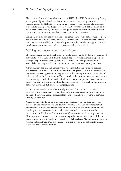The creation of an arm's length body to run the NHS (the NHS Commissioning Board) was in part designed to break the link between ministers and the operational management of the NHS, but it would be naïve to expect that ministerial pressure on senior NHS managers will disappear from April 2013 (when the NHS Commissioning Board formally takes over), just as it was to suppose that semi-autonomous foundation trusts would be immune to outside managerial and political pressure.

Politicians from all parties have struck a contrite tone in the wake of the Francis Report, and ministers have avoided being defensive about the state of quality of NHS services: both these stances are likely to come under pressure as the next election approaches and the Government is inevitably judged on its stewardship of the NHS.

#### Defining and measuring standards of care

The Inquiry recommends the definition of 'fundamental standards' that must be adhered to by NHS providers, and a shift in the burden of proof, where all those in a position of oversight or performance management need to have "convincing evidence [to be] available before accepting that such standards are being complied with" (para 139).

Although many patients and families will now be justifiably anxious about the real standards of care in their local trust, we would encourage the Government to avoid the temptation to over-regulate or be too punitive – a 'big stick approach' will not work and will serve only to further alienate staff and reproduce the distortions created over the past decade by targets. Indeed, the way in which the Government approaches an issue such as the development and assessment of fundamental standards will in itself be an indication of the way in which NHS culture is changing, or not.

Setting fundamental standards is not straightforward. There should be a clear, transparent and inclusive approach to developing these standards and how they are to be assessed, involving a range of stakeholders. The organisation to lead this is the Care Quality Commission.

A priority will be to devise a way to assess when a failure of care exists amongst the millions of care interactions up and down the country. It will also be important that fundamental standards are defined bottom-up by staff in collaboration with users, and building on the extensive work to date by the Care Quality Commission and its predecessors the Healthcare Commission and Commission for Health Improvement. Moreover, any assessment needs to be robust, reproducible and ideally be made in a way that is efficient and does not hinder the delivery of clinical care. We endorse the Inquiry's recommendation that NICE plays a core role in the development of these standards, which can evolve as data improve.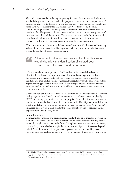We would recommend that the highest priority for initial development of fundamental standards be given to care of the frail older people on acute wards (for example Ontario's Senior Friendly Hospital Initiative (Wong and Liu, 2011)) and that this priority should shape any new requirements for data collection in NHS trusts set by the NHS Commissioning Board or the Care Quality Commission. Any assessment of standards developed for older patients will need to consider how best to capture the experience of the most vulnerable and their families. The witness statements to the Inquiry revealed how those with dementia, often with no relatives to advocate on their behalf, were particularly vulnerable to poor standards of care and least able to report it.

If fundamental standards are to be defined, one of the most difficult issues will be setting a threshold for compliance. It will be important to identify absolute standards that are well understood in advance of any assessment.

A fundamental standards approach, if sufficiently sensitive, would also allow the identification of isolated poor " performance within wards and departments

A fundamental standards approach, if sufficiently sensitive, would also allow the identification of isolated poor performance within wards and departments of trusts. In practice, however, it might be difficult to reach a consensus about where this 'fundamental' threshold should be set, especially if regulatory sanctions or even a failure regime were triggered when it was breached. For example, should all cases of pressure sores or dehydration/malnutrition amongst elderly patients be considered evidence of compassionate neglect?

If the definition of fundamental standards is a bottom-up exercise led by the independent quality regulator, the Care Quality Commission, and based on evidence supplied by NICE, then we suggest a similar process is appropriate for the definition of enhanced or developmental standards which would again be led by the Care Quality Commission but which would clearly involve commissioners. This also hinges on whether 'fundamental', 'enhanced' and 'developmental' standards become part of a system of aggregate ratings of providers (Nuffield Trust, 2013).

#### Rating hospitals<sup>1</sup>

If fundamental, enhanced and developmental standards can be defined, the Government would need to consider whether and how they should be incorporated into any ratings system that might be designed in the future. Though relative measurement is often used, it is not always clear whether being in the top or bottom 20 per cent is necessarily good or bad. As the Inquiry noted, the presence of peers among the bottom 20 per cent of mortality rates was used sometimes as an excuse for inaction. There may also be a tension

<sup>1.</sup> The Nuffield Trust has been commissioned by the Secretary of State for Health to review whether aggregate ratings of provider performance should be used in health and social care. The report is due for publication in late March 2013.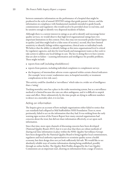between summative information on the performance of a hospital that might be produced in the style of annual OFSTED ratings that guide parents' choices, and the information on compliance with fundamental standards intended to guide boards, commissioners and regulators: this would need to be provided closer to real time, and be sensitive enough to identify very dispersed incidents of failure.

Although there is a current interest in ratings as an aid to identify and encourage better quality services, we would observe that high-level organisational ratings have two important limitations in this context. First, they may not necessarily predict future lapses in quality (and thus might lead to a false sense of security); second, they have limited sensitivity to identify failings within organisations, clinical units or individual wards. We believe that the ability to identify failings at this intra-organisational level is critical for regulatory agencies, and also for trust boards and management teams as they seek to take action to address any local failings in care. The key to doing this is to have systems that are alert to failure – scanning information and intelligence for possible problems. These might include:

- reports from staff (including whistleblowers)
- reports from patients, including individual complaints to complement surveys
- the frequency of intermediate adverse events captured within certain clinical indicators (for example 'never events', readmission rates, in-hospital mortality or treatment complications in low-risk cases).

This activity could be classified as 'surveillance' which takes in a wider set of intelligence than a 'rating'.

Tracking mortality rates has a place in the wider monitoring system, but as a surveillance method it is limited because the rates are often ambiguous, and it is difficult to unpick cause and effect. More substantively, by the time people are dying in sufficient numbers to detect on a mortality alert, it is too late.

#### Acting on information

The Inquiry gives an account of how multiple organisations either failed to notice that care standards had collapsed at Mid Staffordshire NHS Foundation Trust or, more pertinently, failed to act on the information that they had. It was striking from the early warning signs section of the Francis Report how many external organisations had concerns about the trust, but did not share information effectively, or act upon such information.

Since that time, more open channels of discussing concerns have been developed (National Quality Board, 2013), but it is not clear that there are robust methods of sharing real-time information in place within the NHS. Quality Surveillance Groups have been designed by the National Quality Board to bring together local commissioners, regulators and local authority representatives to scrutinise quality across a health economy, but their design does not yet look sufficiently fail-safe. We would like to see absolutely reliable ways of routine information-sharing being established, possibly through an online facility. The Quality Risk Profiles designed by the Care Quality Commission are an important start, drawing on information from a range of sources.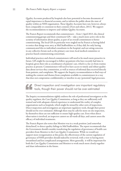Quality Accounts produced by hospitals also have potential to become documents of equal importance to financial accounts, and to inform the public about the state of quality within an NHS organisation. These Quality Accounts have not, however, always been comparable or consistent in their contents (Foot and others, 2011). We support the recommendations to improve and validate Quality Accounts.

The Francis Report recommends that commissioners – from 1 April 2013, the clinical commissioning groups and their constituent GPs – take a much more active role in the scrutiny of information about quality, as part of an overall commitment to better commissioning. The local GPs in particular were singled out by Francis as having failed to notice that things were awry at Mid Staffordshire or, if they did, for only having communicated this to individual consultants in the hospital, and not airing concerns in any collective forum such as the primary care trust, local medical committee or practice-based commissioning consortium.

Individual practices and clinical commissioners will need to be much more proactive in future. GPs might be encouraged to follow up patients who have recently had time in hospital, given their role as coordinators of patients' care, which is a far cry from routine practice at present. Commissioners will need to have access to timely and robust quality data about services they commission, as well as sources of informal data received directly from patients, and complaints. We support the Inquiry recommendation to find ways of making the content and themes from complaints available to commissioners in a way that does not compromise confidentiality or interfere in any (potential) legal processes.

Direct inspection and investigation are important regulatory tools, though their power should not be over-estimated "

The Inquiry recommendations rightly endorse the role of professional investigators at the quality regulator, the Care Quality Commission, as long as they are sufficiently well trained and with adequate clinical experience to understand the reality of complex organisations such as hospitals, which might be missed by other sorts of inspections. Direct inspection and investigation are important regulatory tools, though their power should not be over-estimated. Although there may be calls for more on-site inspection, by themselves these are not sufficient to ensure high-quality care. Even when direct observation is involved, an inspector cannot see all wards all days, and cannot assess the efficacy of individual treatments.

The Francis Report also notes that Monitor was in a weak position (and somewhat disinclined) to detect quality failings in Mid Staffordshire. The report recommends that the Government should consider transferring the regulation of governance of health care providers from Monitor to the Care Quality Commission. While we would not support more reorganisation at this point, the effectiveness of the current regulation of governance of NHS providers should indeed be reviewed, with a view to having more streamlined and less complicated arrangements. More generally, it will be important for both the Care Quality Commission and Monitor to work much more closely together and share information in the future.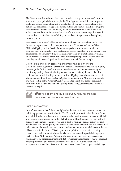The Government has indicated that it will consider creating an inspector of hospitals, who would appropriately be working in the Care Quality Commission. An inspector could help to lead the development of standards with relevant groups including the public, lead the response to apparent clinical failure, and champion and encourage the development of peer review (see below). It will be important for such a figure to be able to command the confidence of clinical staff at the same time as empathising with patients. But there is also a risk of adding another layer of regulation and complexity into the system.

Peer review is another valuable method of responding to concerns about quality that focuses on improvement rather than punitive action. Examples include the West Midlands Quality Review Service (which uses specialist review teams funded by commissioners and providers) and the National Cancer Peer Review programme, which combines self-assessment with targeted peer review visits by multidisciplinary teams. These peer review systems are critical in the defence against poor quality and precisely how they should be developed and funded deserves much further thought.

Clarification of roles in assessing and improving quality of care It would be useful if, given the Department of Health's response to the Francis Inquiry, there might be further clarification as to the roles of national bodies in assessing and monitoring quality of care (including but not limited to failure). In particular, this could include the relationships between the Care Quality Commission and the NHS Commissioning Board, and the Care Quality Commission and Monitor; and the role and membership of the National Quality Board. At present, and despite the recent document published by the National Quality Board (2013), there is some overlap that may not be helpful.

> Effective patient and public scrutiny requires training, resources and a clear sense of mission

# Public involvement

"

One of the most notable failures highlighted in the Francis Report relates to patient and public engagement and scrutiny bodies. The Francis Report is critical of the local Patient and Public Involvement Forum and its successor the Local Involvement Network (LINk), and raises serious concerns about the likely efficacy of Healthwatch in future. The local overview and scrutiny committee was also judged to have failed either to have noticed or acted on concerns about quality. The Francis Report noted that both bodies were inclined to be deferential towards their local trust, which raises an important challenge for the role of lay scrutiny in the future. Effective patient and public scrutiny requires training, resources and a clear sense of mission in relation to understanding and challenging the quality of local NHS services. Achieving the latter is not straightforward, particularly when many local people feel that their NHS services are under threat. A mature approach to local patient and public involvement will need to enable multiple channels of engagement; these will involve the public in a range of roles, from support to challenge.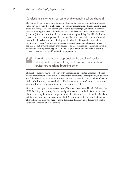## Conclusion: is the system set up to enable genuine culture change?

The Francis Report alludes to, but does not develop, some important underlying tensions in the current system that might need some further consideration. It notes that the trust board was overly focused on meeting financial and access targets, and that a mismatch between funding and the needs of the service was allowed to happen "without protest" (para 1.16). It is not clear from the report where the responsibility should lie for bringing resources and need into alignment. In other words, there is a question about who should make difficult decisions about rationing and the viability of hospital services when resources are frozen. A candid and honest approach to the quality of services, where patients are put first, will require trust boards to be able to signal to commissioners when services are reaching breaking point. This will require commissioners to take difficult collective decisions on behalf of their local populations.

# A candid and honest approach to the quality of services... will require trust boards to signal to commissioners when " services are reaching breaking point

This sort of candour may not sit easily with a more market-oriented approach to health service improvement, where trusts are expected to compete to attract patients, and success and failure are driven by patients' informed choices. Many of the patients who suffered in Mid Staffordshire may not have had a viable alternative in terms of hospital provision, or were unable to access information to make an informed choice.

This raises once again the unresolved issue of how best to define and handle failure in the NHS. Defining and assessing fundamental patient-centred standards of care in the wake of the Francis Inquiry may well improve the quality of care in the NHS but, if defined too tightly, it may also increase the number of NHS organisations that are at risk of failing. This will only intensify the need to make difficult and controversial decisions about the volume and location of NHS services.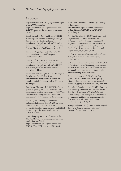#### References

Department of Health (2012) *Report on the Effect of the NHS Constitution*.

https://www.wp.dh.gov.uk/publications/files/ [2012/07/report-on-the-effect-nhs-constitution-](https://www.wp.dh.gov.uk/publications/files/2012/07/report-on-the-effect-nhs-constitution-0407-2.pdf)0407-2.pdf

Foot C, Raleigh V, Ross S and Lyscom T (2011) *How do Quality Accounts Measure Up? Findings from the first year*. The King's Fund. www.kingsfund.org.uk/sites/files/kf/How-do[quality-accounts-measure-up-Findings-from-the](www.kingsfund.org.uk/sites/files/kf/How-do-quality-accounts-measure-up-Findings-from-the-first-year-The-Kings-Fund-January-2011.pdf)first-year-The-Kings-Fund-January-2011.pdf

Francis R (2013) *Report of the Mid Staffordshire NHS Foundation Trust Public Inquiry*. The Stationery Office.

Goodrich J (2011) *Schwarz Center Rounds: An evaluation of the UK pilots*. The King's Fund. [www.kingsfund.org.uk/sites/files/kf/field/field\\_](www.kingsfund.org.uk/sites/files/kf/field/field_publication_file/schwartz-center-rounds-pilot-evaluation-jun11.pdf) publication\_file/schwartz-center-rounds-pilotevaluation-jun11.pdf

Hurst J and Williams S (2012) *Can NHS hospitals Do More with Less?* Nuffield Trust. www.nuffieldtrust.org.uk/sites/files/nuffield/ [can-nhs-hospitals-do-more-with-less\\_full-report-](www.nuffieldtrust.org.uk/sites/files/nuffield/can-nhs-hospitals-do-more-with-less_full-report-120112.pdf)120112.pdf

Jones N and Charlesworth A (2013) *The Anatomy of Health Spending 2011/12: A review of NHS expenditure and labour productivity*. Nuffield Trust. www.nuffieldtrust.org.uk/sites/files/nuffield/ [publication/130305\\_anatomy-health-spending.pdf](www.nuffieldtrust.org.uk/sites/files/nuffield/publication/130305_anatomy-health-spending.pdf)

Launer J (2007) 'Moving on from Balint: embracing clinical supervision', *British Journal of General Practice* 1; 57(536): 182–183. www.ncbi.nlm.nih.gov/pmc/articles/pmc2042562. [See also: http://abetternhs.wordpress.com](http://abetternhs.wordpress.com/2012/12/05/love/)/ 2012/12/05/love/

National Quality Board (2013) *Quality in the New Health System – Maintaining and improving quality from April 2013*. [https://www.wp.dh.gov.uk/publications/files/](https://www.wp.dh.gov.uk/publications/files/2013/01/Final-NQB-report-v4-160113.pdf) 2013/01/Final-NQB-report-v4-160113.pdf

NHS Confederation (2009) *Future of Leadership*. Debate paper.

[www.nhsconfed.org/Publications/Documents/](www.nhsconfed.org/Publications/Documents/Debate%20paper%20-%20Future%20of%20leadership.pdf) Debate%20paper%20-%20Future%20of%20 leadership.pdf

Newdick C and Smith J (2010) *The Structure and Organisation of the NHS: A report for the independent inquiry into care provided by Mid Staffordshire NHS Foundation Trust 2005–2009*. www.midstaffspublicinquiry.com/sites/default/ files/evidence/Expert\_report - Structure\_and Organisation\_of\_the\_NHS\_0.pdf

Nuffield Trust (2013) *The Health and Social Care Ratings Review*. www.nuffieldtrust.org.uk/ ratings-review

Roberts A, Marshall L and Charlesworth A (2012) *A Decade of Austerity? The funding pressures facing the NHS from 2010/11 to 2021/22*. Nuffield Trust. [www.nuffieldtrust.org.uk/publications/decade](www.nuffieldtrust.org.uk/publications/decade-austerity-funding-pressures-facing-nhs)austerity-funding-pressures-facing-nhs

Shipton H, Armstrong C, West M and Dawson J (2008) 'The impact of leadership and quality climate on hospital performance', *International Journal for Quality in Health Care*, 20(6), 439–445.

Smith J and Chambers N (2011) Mid Staffordshire Public Inquiry Seminar on the Development and Training of Trust Leaders. *The Regulation and Development of NHS Managers: A discussion paper.* [www.midstaffspublicinquiry.com/sites/default/](www.midstaffspublicinquiry.com/sites/default/files/uploads/Judith_Smith_and_Naomi_Chambers_-_paper_2_0.pdf) files/uploads/Judith\_Smith\_and\_Naomi\_ Chambers\_-\_paper\_2\_0.pdf

Wong K and Liu B (2011) *Senior Friendly Hospital Care Across Ontario: Summary report and recommendations*. Ontario LHINs.